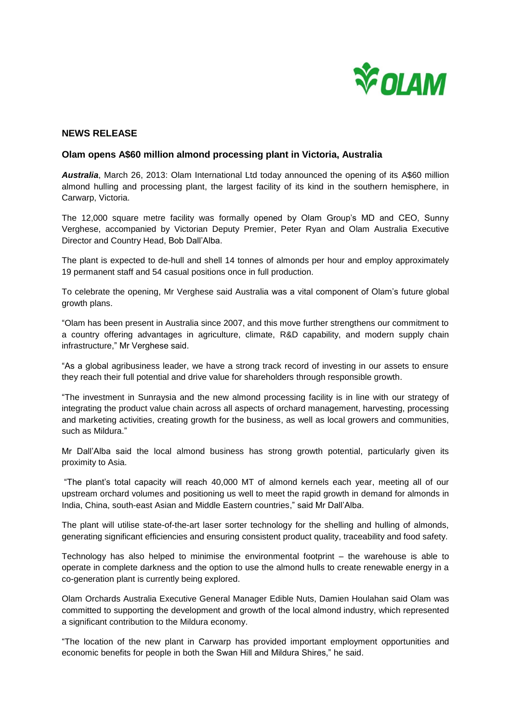

## **NEWS RELEASE**

## **Olam opens A\$60 million almond processing plant in Victoria, Australia**

*Australia*, March 26, 2013: Olam International Ltd today announced the opening of its A\$60 million almond hulling and processing plant, the largest facility of its kind in the southern hemisphere, in Carwarp, Victoria.

The 12,000 square metre facility was formally opened by Olam Group's MD and CEO, Sunny Verghese, accompanied by Victorian Deputy Premier, Peter Ryan and Olam Australia Executive Director and Country Head, Bob Dall'Alba.

The plant is expected to de-hull and shell 14 tonnes of almonds per hour and employ approximately 19 permanent staff and 54 casual positions once in full production.

To celebrate the opening, Mr Verghese said Australia was a vital component of Olam's future global growth plans.

"Olam has been present in Australia since 2007, and this move further strengthens our commitment to a country offering advantages in agriculture, climate, R&D capability, and modern supply chain infrastructure," Mr Verghese said.

"As a global agribusiness leader, we have a strong track record of investing in our assets to ensure they reach their full potential and drive value for shareholders through responsible growth.

"The investment in Sunraysia and the new almond processing facility is in line with our strategy of integrating the product value chain across all aspects of orchard management, harvesting, processing and marketing activities, creating growth for the business, as well as local growers and communities, such as Mildura."

Mr Dall'Alba said the local almond business has strong growth potential, particularly given its proximity to Asia.

"The plant's total capacity will reach 40,000 MT of almond kernels each year, meeting all of our upstream orchard volumes and positioning us well to meet the rapid growth in demand for almonds in India, China, south-east Asian and Middle Eastern countries," said Mr Dall'Alba.

The plant will utilise state-of-the-art laser sorter technology for the shelling and hulling of almonds, generating significant efficiencies and ensuring consistent product quality, traceability and food safety.

Technology has also helped to minimise the environmental footprint – the warehouse is able to operate in complete darkness and the option to use the almond hulls to create renewable energy in a co-generation plant is currently being explored.

Olam Orchards Australia Executive General Manager Edible Nuts, Damien Houlahan said Olam was committed to supporting the development and growth of the local almond industry, which represented a significant contribution to the Mildura economy.

"The location of the new plant in Carwarp has provided important employment opportunities and economic benefits for people in both the Swan Hill and Mildura Shires," he said.